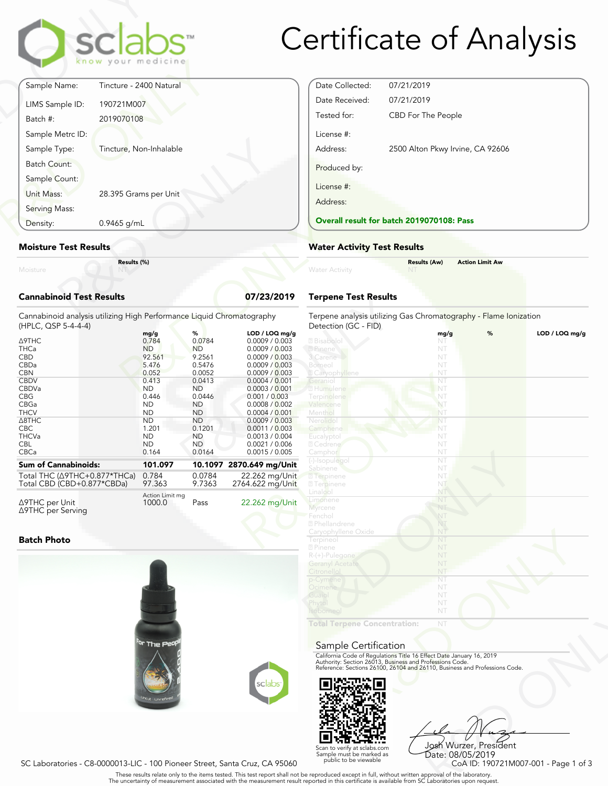

## Certificate of Analysis

| Moisture                         | Results (%)             |  |
|----------------------------------|-------------------------|--|
| <b>Moisture Test Results</b>     |                         |  |
| Density:                         | 0.9465 g/mL             |  |
| Serving Mass:                    |                         |  |
| Sample Count:<br>Unit Mass:      | 28.395 Grams per Unit   |  |
| Batch Count:                     |                         |  |
| Sample Metrc ID:<br>Sample Type: | Tincture, Non-Inhalable |  |
| Batch #:                         | 2019070108              |  |
| LIMS Sample ID:                  | 190721M007              |  |
| Sample Name:                     | Tincture - 2400 Natural |  |

#### **Moisture Test Results**

#### **Cannabinoid Test Results 07/23/2019**

| Density:                                                                                                                                                       | $0.9465$ g/mL |                                                                                                                                       |                                                                                                                                          |                                                                                                                                                                                                                                       | <b>Overall result for batc</b>                                                                                                                                   |  |
|----------------------------------------------------------------------------------------------------------------------------------------------------------------|---------------|---------------------------------------------------------------------------------------------------------------------------------------|------------------------------------------------------------------------------------------------------------------------------------------|---------------------------------------------------------------------------------------------------------------------------------------------------------------------------------------------------------------------------------------|------------------------------------------------------------------------------------------------------------------------------------------------------------------|--|
| <b>Moisture Test Results</b>                                                                                                                                   |               |                                                                                                                                       |                                                                                                                                          |                                                                                                                                                                                                                                       | <b>Water Activity Test R</b>                                                                                                                                     |  |
| Moisture                                                                                                                                                       | Results (%)   |                                                                                                                                       |                                                                                                                                          |                                                                                                                                                                                                                                       | <b>Water Activity</b>                                                                                                                                            |  |
| <b>Cannabinoid Test Results</b><br>07/23/2019                                                                                                                  |               |                                                                                                                                       |                                                                                                                                          |                                                                                                                                                                                                                                       | <b>Terpene Test Results</b>                                                                                                                                      |  |
| Cannabinoid analysis utilizing High Performance Liquid Chromatography<br>(HPLC, QSP 5-4-4-4)                                                                   |               |                                                                                                                                       |                                                                                                                                          |                                                                                                                                                                                                                                       | Terpene analysis utilizing<br>Detection (GC - FID)                                                                                                               |  |
| <b>A9THC</b><br><b>THCa</b><br><b>CBD</b><br>CBDa<br><b>CBN</b><br><b>CBDV</b><br>CBDVa<br><b>CBG</b><br>CBGa<br><b>THCV</b><br>$\triangle$ 8THC<br><b>CBC</b> |               | mg/g<br>0.784<br><b>ND</b><br>92.561<br>5.476<br>0.052<br>0.413<br><b>ND</b><br>0.446<br><b>ND</b><br><b>ND</b><br><b>ND</b><br>1.201 | %<br>0.0784<br><b>ND</b><br>9.2561<br>0.5476<br>0.0052<br>0.0413<br><b>ND</b><br>0.0446<br><b>ND</b><br><b>ND</b><br><b>ND</b><br>0.1201 | LOD / LOQ mg/g<br>0.0009 / 0.003<br>0.0009 / 0.003<br>0.0009 / 0.003<br>0.0009 / 0.003<br>0.0009 / 0.003<br>0.0004 / 0.001<br>0.0003 / 0.001<br>0.001 / 0.003<br>0.0008 / 0.002<br>0.0004 / 0.001<br>0.0009 / 0.003<br>0.0011 / 0.003 | 2 Bisabolol<br>2 Pinene<br>3 Carene<br>Borneol<br><b>Z</b> Caryophyllene<br>Geranio<br>2 Humulene<br>Terpinolene<br>Valencene<br>Menthol<br>Nerolido<br>Camphene |  |
| <b>THCVa</b><br><b>CBL</b><br>CBCa                                                                                                                             |               | <b>ND</b><br><b>ND</b><br>0.164                                                                                                       | <b>ND</b><br><b>ND</b><br>0.0164                                                                                                         | 0.0013 / 0.004<br>0.0021 / 0.006<br>0.0015 / 0.005                                                                                                                                                                                    | Eucalyptol<br>2 Cedrene<br>Camphor                                                                                                                               |  |
| <b>Sum of Cannabinoids:</b><br>Total THC (∆9THC+0.877*THCa)<br>Total CBD (CBD+0.877*CBDa)                                                                      |               | 101.097<br>0.784<br>97.363                                                                                                            | 10.1097<br>0.0784<br>9.7363                                                                                                              | 2870.649 mg/Unit<br>22.262 mg/Unit<br>2764.622 mg/Unit                                                                                                                                                                                | (-)-Isopulegol<br>Sabinene<br><b>7</b> Terpinene<br><b>27</b> Terpinene                                                                                          |  |
| $\sim$ $\sim$                                                                                                                                                  |               | Action Limit mg                                                                                                                       |                                                                                                                                          | $\sim$ $\sim$ $\sim$                                                                                                                                                                                                                  | Linalool<br>imonono                                                                                                                                              |  |

Δ9THC per Unit Δ9THC per Serving  $1000.0$ 

Pass 22.262 mg/Unit

#### **Batch Photo**





Date Collected: 07/21/2019 Date Received: 07/21/2019 Tested for: CBD For The People License #: Address: 2500 Alton Pkwy Irvine, CA 92606 Produced by: License #: Address: **Overall result for batch 2019070108: Pass**

#### **Water Activity Test Results**

|                       | <b>Results (Aw)</b> | <b>Action Limit Aw</b> |  |
|-----------------------|---------------------|------------------------|--|
| <b>Water Activity</b> | <b>NT</b>           |                        |  |
|                       |                     |                        |  |

#### **Terpene Test Results**

| atography      | Terpene analysis utilizing Gas Chromatography - Flame Ionization<br>Detection (GC - FID)                                               |      |   |                |
|----------------|----------------------------------------------------------------------------------------------------------------------------------------|------|---|----------------|
| LOD / LOQ mg/g |                                                                                                                                        | mg/g | % | LOD / LOQ mg/g |
| 0.0009 / 0.003 | 2 Bisabolol                                                                                                                            | NT   |   |                |
| 0.0009 / 0.003 | 2 Pinene                                                                                                                               | NT   |   |                |
| 0.0009 / 0.003 | 3 Carene                                                                                                                               | NT   |   |                |
| 0.0009 / 0.003 | Borneol                                                                                                                                | NT   |   |                |
| 0.0009 / 0.003 | <b>Z</b> Caryophyllene                                                                                                                 | NT   |   |                |
| 0.0004 / 0.001 | Geranio                                                                                                                                | NT   |   |                |
| 0.0003 / 0.001 | 2 Humulene                                                                                                                             | NT   |   |                |
| 0.001 / 0.003  | Terpinolene                                                                                                                            | NT   |   |                |
| 0.0008 / 0.002 | Valencene                                                                                                                              | NT   |   |                |
| 0.0004 / 0.001 | Menthol                                                                                                                                | NT   |   |                |
| 0.0009 / 0.003 | Nerolido                                                                                                                               | NT   |   |                |
| 0.0011 / 0.003 | Camphene                                                                                                                               | NT   |   |                |
| 0.0013 / 0.004 | Eucalyptol                                                                                                                             | NT   |   |                |
| 0.0021 / 0.006 | 2 Cedrene                                                                                                                              | NT   |   |                |
| 0.0015 / 0.005 | Camphor                                                                                                                                | NT   |   |                |
|                |                                                                                                                                        | NT   |   |                |
| 70.649 mg/Unit | (-)-Isopulegol<br>Sabinene                                                                                                             |      |   |                |
|                |                                                                                                                                        | NT   |   |                |
| 22.262 mg/Unit | <b>7</b> Terpinene                                                                                                                     | NT   |   |                |
| 64.622 mg/Unit | <b>27 Terpinene</b>                                                                                                                    | NT   |   |                |
|                | Linalool                                                                                                                               | NT   |   |                |
| 22.262 mg/Unit | Limonene                                                                                                                               | NT   |   |                |
|                | <b>Myrcene</b>                                                                                                                         | NT   |   |                |
|                | Fenchol                                                                                                                                | NT   |   |                |
|                | 2 Phellandrene                                                                                                                         | NT   |   |                |
|                | Caryophyllene Oxide                                                                                                                    | NŤ   |   |                |
|                | Terpineol                                                                                                                              | NT   |   |                |
|                | 2 Pinene                                                                                                                               | NT   |   |                |
|                | $R-(+)$ -Pulegone                                                                                                                      | NT   |   |                |
|                | <b>Geranyl Acetate</b>                                                                                                                 | NT   |   |                |
|                | Citronellol                                                                                                                            | NT   |   |                |
|                | p-Cymene                                                                                                                               | NT   |   |                |
|                | Ocimene                                                                                                                                | NT   |   |                |
|                | Guaiol                                                                                                                                 | NT   |   |                |
|                | Phytol                                                                                                                                 | NT   |   |                |
|                | <b>soborneo</b>                                                                                                                        | NT   |   |                |
|                |                                                                                                                                        |      |   |                |
|                | <b>Total Terpene Concentration:</b>                                                                                                    | NT   |   |                |
|                |                                                                                                                                        |      |   |                |
|                | Sample Certification                                                                                                                   |      |   |                |
|                |                                                                                                                                        |      |   |                |
|                | California Code of Regulations Title 16 Effect Date January 16, 2019                                                                   |      |   |                |
|                | Authority: Section 26013, Business and Professions Code.<br>Reference: Sections 26100, 26104 and 26110, Business and Professions Code. |      |   |                |
|                |                                                                                                                                        |      |   |                |
| sclabs         |                                                                                                                                        |      |   |                |
|                |                                                                                                                                        |      |   |                |
|                |                                                                                                                                        |      |   |                |

#### Sample Certification



NT<br>
NT<br>
Fect Date January 16, 2019<br>
rofessions Code.<br>
9110, Business and Professions Code.<br>
910, Business and Professions Code.<br>
9206 Wurzer, President<br>
Date: 08/05/2019<br>
CoA ID: 190721M007-001 - Page 1 of 3<br>
pproval of th Josh Wurzer, President Date: 08/05/2019<br>CoA ID: 190721M007-001 - Page 1 of 3

SC Laboratories - C8-0000013-LIC - 100 Pioneer Street, Santa Cruz, CA 95060

. These results relate only to the items tested. This test report shall not be reproduced except in full, without written approval of the laboratory.<br>The uncertainty of measurement associated with the measurement result re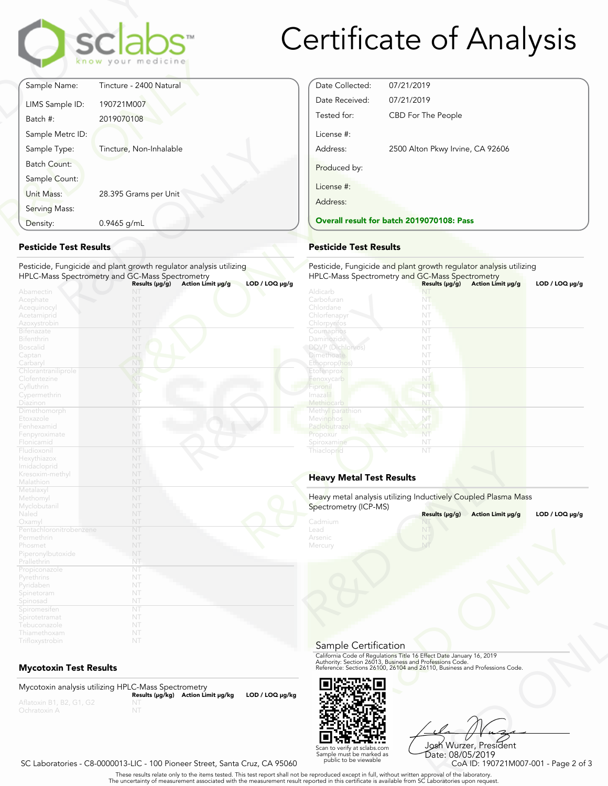

# Certificate of Analysis

|                     | sclabs <sup>.</sup><br>know your medicine |
|---------------------|-------------------------------------------|
| Sample Name:        | Tincture - 2400 Natural                   |
| LIMS Sample ID:     | 190721M007                                |
| Batch #:            | 2019070108                                |
| Sample Metrc ID:    |                                           |
| Sample Type:        | Tincture, Non-Inhalable                   |
| <b>Batch Count:</b> |                                           |
| Sample Count:       |                                           |
| Unit Mass:          | 28.395 Grams per Unit                     |
| Serving Mass:       |                                           |
| Density:            | 0.9465 g/mL                               |

#### **Pesticide Test Results**

| 0.9465 g/mL<br>Density:                                                                                                                                         | <b>Overall result for batc</b>                                                            |  |
|-----------------------------------------------------------------------------------------------------------------------------------------------------------------|-------------------------------------------------------------------------------------------|--|
| <b>Pesticide Test Results</b>                                                                                                                                   | <b>Pesticide Test Results</b>                                                             |  |
| Pesticide, Fungicide and plant growth regulator analysis utilizing<br>HPLC-Mass Spectrometry and GC-Mass Spectrometry                                           | Pesticide, Fungicide and<br><b>HPLC-Mass Spectrometry</b>                                 |  |
| $LOD / LOQ \mu g/g$<br>Action Limit µg/g<br>Results (µg/g)<br>Abamectin<br>NT<br>NT<br>Acephate<br>NT<br>Acequinocyl<br>NT<br>Acetamiprid<br>NT<br>Azoxystrobin | Aldicarb<br>Carbofuran<br>Chlordane<br>Chlorfenapyr<br>Chlorpyrifos                       |  |
| NT<br><b>Bifenazate</b><br>NT<br><b>Bifenthrin</b><br>NT<br><b>Boscalid</b><br>NT<br>Captan<br>NT<br>Carbaryl                                                   | Coumaphos<br>Daminozide<br><b>DDVP</b> (Dichlorvos)<br><b>Dimethoate</b><br>Ethoprop(hos) |  |
| NT<br>Chlorantraniliprole<br>NT<br>Clofentezine<br>NT<br>Cyfluthrin<br>NT<br>Cypermethrin<br>NT                                                                 | Etofenprox<br>Fenoxycarb<br>Fipronil<br>Imaza i<br>Methiocarb                             |  |
| Diazinon<br>NT<br>Dimethomorph<br>NT<br>Etoxazole<br>Fenhexamid<br>NT<br>NT<br>Fenpyroximate                                                                    | Methyl parathion<br>Mevinphos<br>Paclobutrazo<br>Propoxur                                 |  |
| NT<br>Flonicamid<br>NT<br>Fludioxonil<br>NT<br>Hexythiazox<br>Imidacloprid<br>NT<br>NT                                                                          | Spiroxamine<br>Thiacloprid                                                                |  |
| Kresoxim-methyl<br>NT<br>Malathion<br>NT<br>Metalaxyl                                                                                                           | <b>Heavy Metal Test Res</b>                                                               |  |
| NT<br>Methomyl<br>NT<br>Myclobutanil<br>NT<br>Naled                                                                                                             | Heavy metal analysis utiliz<br>Spectrometry (ICP-MS)                                      |  |
| NT<br>Oxamyl<br>Pentachloronitrobenzene<br>NT<br>NT<br>Permethrin<br>NT<br>Phosmet<br>NT<br>Piperonylbutoxide                                                   | Cadmium<br>Lead<br>Arsenic<br>Mercury                                                     |  |
| NT<br>Prallethrin<br>NT<br>Propiconazole<br>NT<br>Pyrethrins<br>NT<br>Pyridaben<br>NT<br>Spinetoram                                                             |                                                                                           |  |
| NT<br>Spinosad<br>NT<br>Spiromesifen<br>NT<br>Spirotetramat<br>NT<br>Tebuconazole<br>NT<br>Thiamethoxam<br>NT<br>Trifloxystrobin                                |                                                                                           |  |

### **Mycotoxin Test Results**

Mycotoxin analysis utilizing HPLC-Mass Spectrometry **Results (μg/kg) Action Limit μg/kg LOD / LOQ μg/kg** NT



#### **Pesticide Test Results**

Pesticide, Fungicide and plant growth regulator analysis utilizing HPLC-Mass Spectrometry and GC-Mass Spectrometry **Results (μg/g) Action Limit μg/g LOD / LOQ μg/g** NT Carbofuran

| Carboturan<br>Chlordane         | NT<br>NT                                                       |  |
|---------------------------------|----------------------------------------------------------------|--|
| Chlorfenapyr                    | NT                                                             |  |
| Chlorpyrifos                    | NT                                                             |  |
| Coumaphos                       | NT                                                             |  |
| Daminozide                      | NT                                                             |  |
| <b>DDVP</b> (Dichlorvos)        | NT                                                             |  |
| Dimethoate                      | NT                                                             |  |
| Ethoprop(hos)                   | NT                                                             |  |
| Etofenprox                      | NT                                                             |  |
| Fenoxycarb                      | NT                                                             |  |
| Fipronil                        | NT                                                             |  |
| Imazalil                        | NT                                                             |  |
| Methiocarb                      | NT                                                             |  |
| Methyl parathion                | NT                                                             |  |
| Mevinphos                       | NT                                                             |  |
| Paclobutrazol                   | NT                                                             |  |
| Propoxur                        | NT                                                             |  |
| Spiroxamine                     | NT                                                             |  |
| Thiacloprid                     | NT                                                             |  |
|                                 |                                                                |  |
|                                 |                                                                |  |
| <b>Heavy Metal Test Results</b> |                                                                |  |
|                                 |                                                                |  |
|                                 |                                                                |  |
|                                 | Heavy metal analysis utilizing Inductively Coupled Plasma Mass |  |
| Spectrometry (ICP-MS)           |                                                                |  |
|                                 | Results (µg/g)<br>Action Limit µg/g<br>$LOD / LOQ \mu g/g$     |  |
| Cadmium                         |                                                                |  |
| Lead                            | NT                                                             |  |
| Arsenic                         |                                                                |  |
| Mercury                         | NT                                                             |  |

### **Heavy Metal Test Results**

| Spectrometry (ICP-MS)                 | Heavy metal analysis utilizing Inductively Coupled Plasma Mass                                                                                                                                                 |                     |
|---------------------------------------|----------------------------------------------------------------------------------------------------------------------------------------------------------------------------------------------------------------|---------------------|
|                                       | Results (µg/g)<br>Action Limit µg/g                                                                                                                                                                            | $LOD / LOQ \mu g/g$ |
| Cadmium<br>Lead<br>Arsenic<br>Mercury | NT                                                                                                                                                                                                             |                     |
| Sample Certification                  |                                                                                                                                                                                                                |                     |
|                                       | California Code of Regulations Title 16 Effect Date January 16, 2019<br>Authority: Section 26013, Business and Professions Code.<br>Reference: Sections 26100, 26104 and 26110, Business and Professions Code. |                     |
|                                       |                                                                                                                                                                                                                |                     |



Frect Date January 16, 2019<br>
Trofessions Code.<br>
110, Business and Professions Code.<br>
110, Business and Professions Code.<br>
108 Wurzzer, President<br>
Date: 08/05/2019<br>
CoA ID: 190721M007-001 - Page 2 of 3<br>
pproval of the labor Josh Wurzer, President Date: 08/05/2019<br>CoA ID: 190721M007-001 - Page 2 of 3

SC Laboratories - C8-0000013-LIC - 100 Pioneer Street, Santa Cruz, CA 95060

. These results relate only to the items tested. This test report shall not be reproduced except in full, without written approval of the laboratory.<br>The uncertainty of measurement associated with the measurement result re